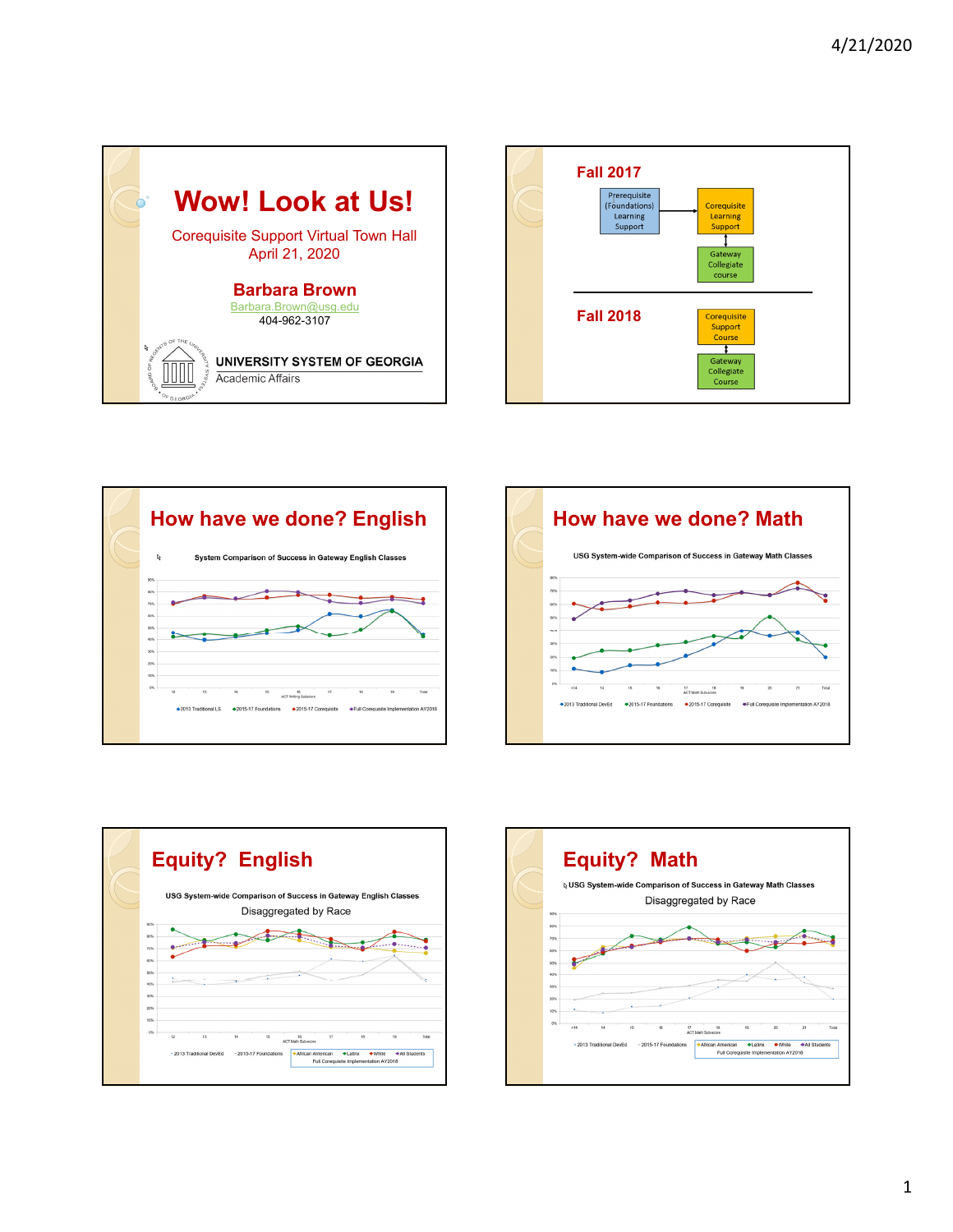









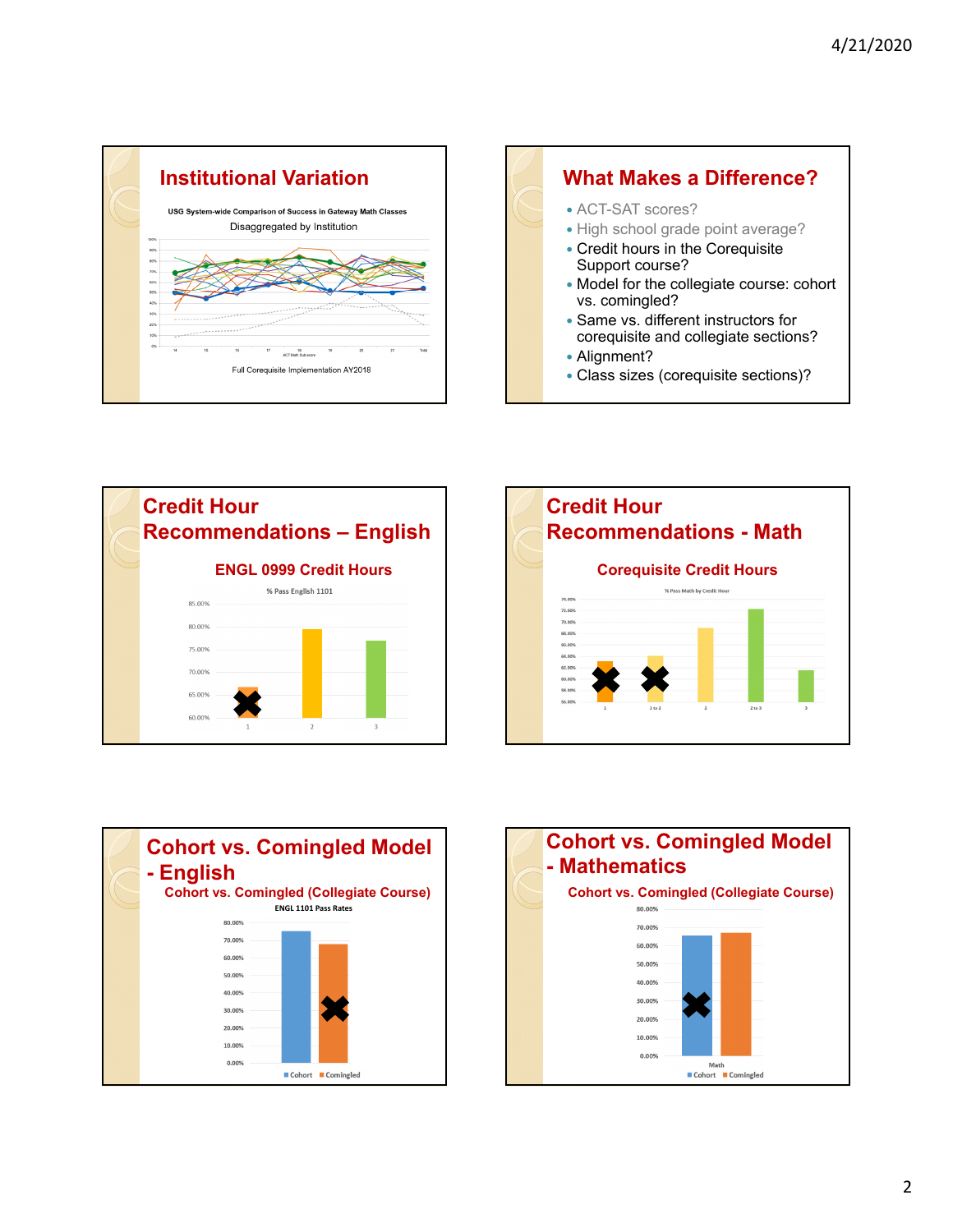